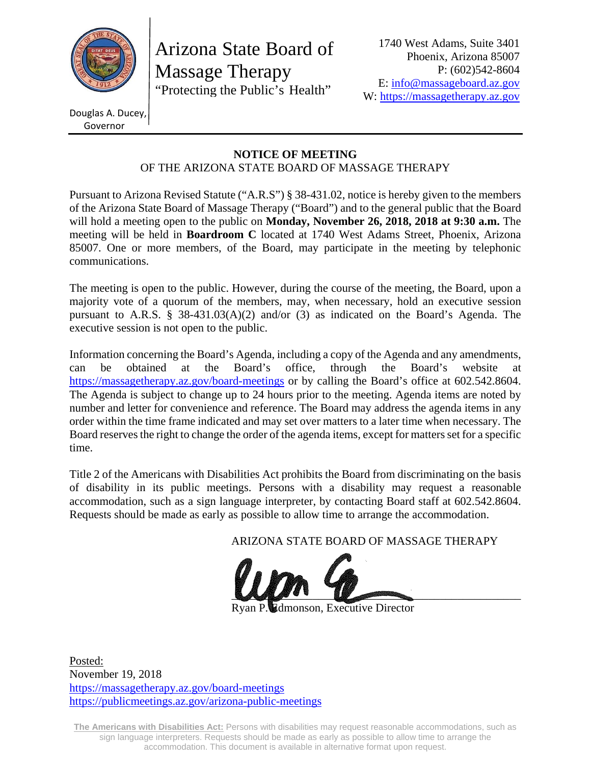

Arizona State Board of Massage Therapy "Protecting the Public's Health"

Douglas A. Ducey, Governor

#### **NOTICE OF MEETING**  OF THE ARIZONA STATE BOARD OF MASSAGE THERAPY

Pursuant to Arizona Revised Statute ("A.R.S") § 38-431.02, notice is hereby given to the members of the Arizona State Board of Massage Therapy ("Board") and to the general public that the Board will hold a meeting open to the public on **Monday, November 26, 2018, 2018 at 9:30 a.m.** The meeting will be held in **Boardroom C** located at 1740 West Adams Street, Phoenix, Arizona 85007. One or more members, of the Board, may participate in the meeting by telephonic communications.

The meeting is open to the public. However, during the course of the meeting, the Board, upon a majority vote of a quorum of the members, may, when necessary, hold an executive session pursuant to A.R.S. § 38-431.03(A)(2) and/or (3) as indicated on the Board's Agenda. The executive session is not open to the public.

Information concerning the Board's Agenda, including a copy of the Agenda and any amendments, can be obtained at the Board's office, through the Board's website at https://massagetherapy.az.gov/board-meetings or by calling the Board's office at 602.542.8604. The Agenda is subject to change up to 24 hours prior to the meeting. Agenda items are noted by number and letter for convenience and reference. The Board may address the agenda items in any order within the time frame indicated and may set over matters to a later time when necessary. The Board reserves the right to change the order of the agenda items, except for matters set for a specific time.

Title 2 of the Americans with Disabilities Act prohibits the Board from discriminating on the basis of disability in its public meetings. Persons with a disability may request a reasonable accommodation, such as a sign language interpreter, by contacting Board staff at 602.542.8604. Requests should be made as early as possible to allow time to arrange the accommodation.

ARIZONA STATE BOARD OF MASSAGE THERAPY



**Edmonson, Executive Director** 

Posted: November 19, 2018 https://massagetherapy.az.gov/board-meetings https://publicmeetings.az.gov/arizona-public-meetings

**The Americans with Disabilities Act:** Persons with disabilities may request reasonable accommodations, such as sign language interpreters. Requests should be made as early as possible to allow time to arrange the accommodation. This document is available in alternative format upon request.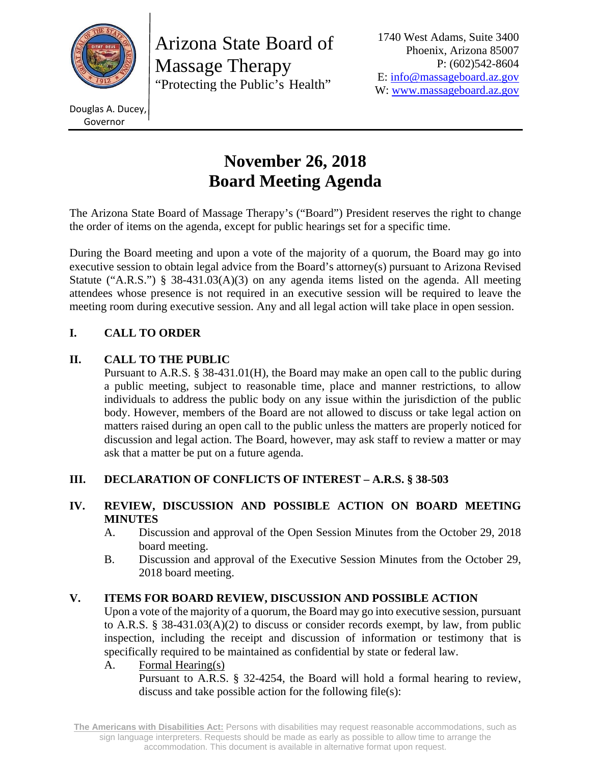

Arizona State Board of Massage Therapy "Protecting the Public's Health"

1740 West Adams, Suite 3400 Phoenix, Arizona 85007 P: (602)542-8604 E: info@massageboard.az.gov W: www.massageboard.az.gov

Douglas A. Ducey, Governor

# **November 26, 2018 Board Meeting Agenda**

The Arizona State Board of Massage Therapy's ("Board") President reserves the right to change the order of items on the agenda, except for public hearings set for a specific time.

During the Board meeting and upon a vote of the majority of a quorum, the Board may go into executive session to obtain legal advice from the Board's attorney(s) pursuant to Arizona Revised Statute ("A.R.S.") § 38-431.03(A)(3) on any agenda items listed on the agenda. All meeting attendees whose presence is not required in an executive session will be required to leave the meeting room during executive session. Any and all legal action will take place in open session.

# **I. CALL TO ORDER**

# **II. CALL TO THE PUBLIC**

 Pursuant to A.R.S. § 38-431.01(H), the Board may make an open call to the public during a public meeting, subject to reasonable time, place and manner restrictions, to allow individuals to address the public body on any issue within the jurisdiction of the public body. However, members of the Board are not allowed to discuss or take legal action on matters raised during an open call to the public unless the matters are properly noticed for discussion and legal action. The Board, however, may ask staff to review a matter or may ask that a matter be put on a future agenda.

# **III. DECLARATION OF CONFLICTS OF INTEREST – A.R.S. § 38-503**

## **IV. REVIEW, DISCUSSION AND POSSIBLE ACTION ON BOARD MEETING MINUTES**

- A. Discussion and approval of the Open Session Minutes from the October 29, 2018 board meeting.
- B. Discussion and approval of the Executive Session Minutes from the October 29, 2018 board meeting.

# **V. ITEMS FOR BOARD REVIEW, DISCUSSION AND POSSIBLE ACTION**

Upon a vote of the majority of a quorum, the Board may go into executive session, pursuant to A.R.S. § 38-431.03(A)(2) to discuss or consider records exempt, by law, from public inspection, including the receipt and discussion of information or testimony that is specifically required to be maintained as confidential by state or federal law.

A. Formal Hearing(s)

Pursuant to A.R.S. § 32-4254, the Board will hold a formal hearing to review, discuss and take possible action for the following file(s):